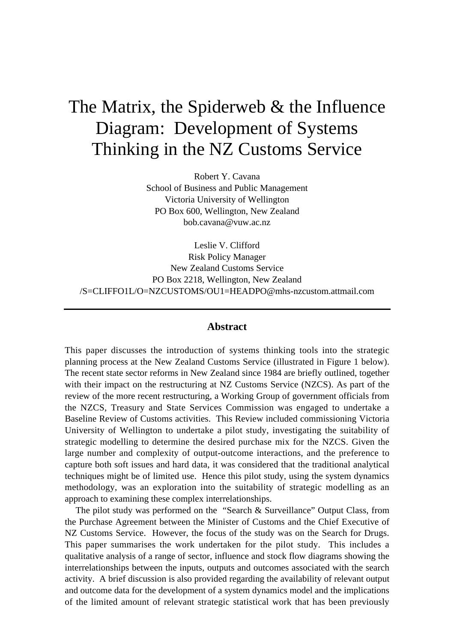## The Matrix, the Spiderweb & the Influence Diagram: Development of Systems Thinking in the NZ Customs Service

Robert Y. Cavana School of Business and Public Management Victoria University of Wellington PO Box 600, Wellington, New Zealand bob.cavana@vuw.ac.nz

Leslie V. Clifford Risk Policy Manager New Zealand Customs Service PO Box 2218, Wellington, New Zealand /S=CLIFFO1L/O=NZCUSTOMS/OU1=HEADPO@mhs-nzcustom.attmail.com

## **Abstract**

This paper discusses the introduction of systems thinking tools into the strategic planning process at the New Zealand Customs Service (illustrated in Figure 1 below). The recent state sector reforms in New Zealand since 1984 are briefly outlined, together with their impact on the restructuring at NZ Customs Service (NZCS). As part of the review of the more recent restructuring, a Working Group of government officials from the NZCS, Treasury and State Services Commission was engaged to undertake a Baseline Review of Customs activities. This Review included commissioning Victoria University of Wellington to undertake a pilot study, investigating the suitability of strategic modelling to determine the desired purchase mix for the NZCS. Given the large number and complexity of output-outcome interactions, and the preference to capture both soft issues and hard data, it was considered that the traditional analytical techniques might be of limited use. Hence this pilot study, using the system dynamics methodology, was an exploration into the suitability of strategic modelling as an approach to examining these complex interrelationships.

The pilot study was performed on the "Search & Surveillance" Output Class, from the Purchase Agreement between the Minister of Customs and the Chief Executive of NZ Customs Service. However, the focus of the study was on the Search for Drugs. This paper summarises the work undertaken for the pilot study. This includes a qualitative analysis of a range of sector, influence and stock flow diagrams showing the interrelationships between the inputs, outputs and outcomes associated with the search activity. A brief discussion is also provided regarding the availability of relevant output and outcome data for the development of a system dynamics model and the implications of the limited amount of relevant strategic statistical work that has been previously